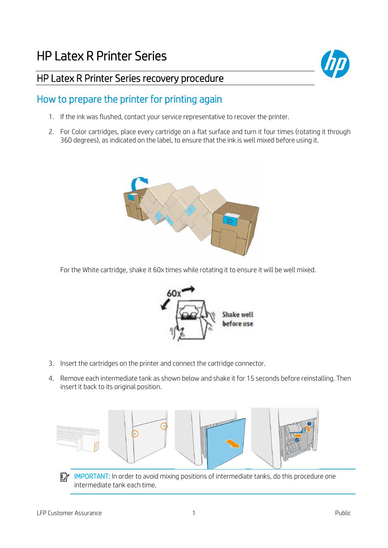

## HP Latex R Printer Series recovery procedure

## How to prepare the printer for printing again

- 1. If the ink was flushed, contact your service representative to recover the printer.
- 2. For Color cartridges, place every cartridge on a flat surface and turn it four times (rotating it through 360 degrees), as indicated on the label, to ensure that the ink is well mixed before using it.



For the White cartridge, shake it 60x times while rotating it to ensure it will be well mixed.



- 3. Insert the cartridges on the printer and connect the cartridge connector.
- 4. Remove each intermediate tank as shown below and shake it for 15 seconds before reinstalling. Then insert it back to its original position.



IMPORTANT: In order to avoid mixing positions of intermediate tanks, do this procedure one intermediate tank each time.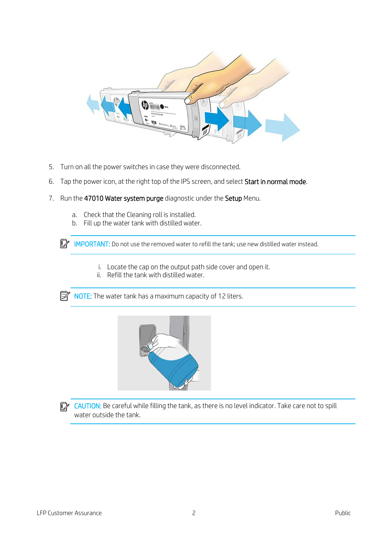

- 5. Turn on all the power switches in case they were disconnected.
- 6. Tap the power icon, at the right top of the IPS screen, and select Start in normal mode.
- 7. Run the 47010 Water system purge diagnostic under the Setup Menu.
	- a. Check that the Cleaning roll is installed.
	- b. Fill up the water tank with distilled water.

IMPORTANT: Do not use the removed water to refill the tank; use new distilled water instead.

- i. Locate the cap on the output path side cover and open it.
- ii. Refill the tank with distilled water.

 $\mathbb{R}^n$  NOTE: The water tank has a maximum capacity of 12 liters.



**CAUTION:** Be careful while filling the tank, as there is no level indicator. Take care not to spill water outside the tank.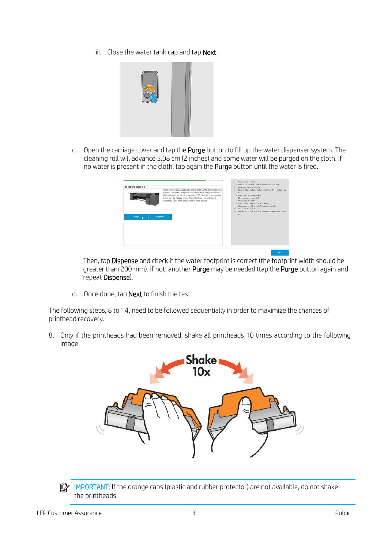iii. Close the water tank cap and tap Next.



c. Open the carriage cover and tap the Purge button to fill up the water dispenser system. The cleaning roll will advance 5.08 cm (2 inches) and some water will be purged on the cloth. If no water is present in the cloth, tap again the Purge button until the water is fired.

| Procedure step: 6-6 |                                                                                                                                                                                                                                                                                                                                                               | . E-box to Power box communication OK<br>2. Printer rearn check                                                                                                                                                                                                                          |
|---------------------|---------------------------------------------------------------------------------------------------------------------------------------------------------------------------------------------------------------------------------------------------------------------------------------------------------------------------------------------------------------|------------------------------------------------------------------------------------------------------------------------------------------------------------------------------------------------------------------------------------------------------------------------------------------|
| Purge Lig           | Open camage cover and press 'Purge' to fill up the Water Dispenser<br>system. Then press 'Dispense' and check if the footprint is correct<br>(footprint width should be greater than 200 mm). If it is not, another<br>purge may be needed (press 'Purge' button again and repeat<br>dispense). Once done press 'Next' to finish the test.<br><b>Dispense</b> | 3. Start Distilled water system FW component<br>×<br>· Starting electronics<br>* Electronics ready!<br>* Starting motors<br>- Distilled water tank ready!<br>4. Cleaning roll installation check<br>5. Fill up Water tank<br>6. Purge to fill up the Water Dispenser syst<br><b>Virt</b> |

Then, tap Dispense and check if the water footprint is correct (the footprint width should be greater than 200 mm). If not, another Purge may be needed (tap the Purge button again and repeat Dispense).

d. Once done, tap **Next** to finish the test.

The following steps, 8 to 14, need to be followed sequentially in order to maximize the chances of printhead recovery.

8. Only if the printheads had been removed, shake all printheads 10 times according to the following image:



IMPORTANT: If the orange caps (plastic and rubber protector) are not available, do not shake  $\mathbb{Z}$ the printheads.